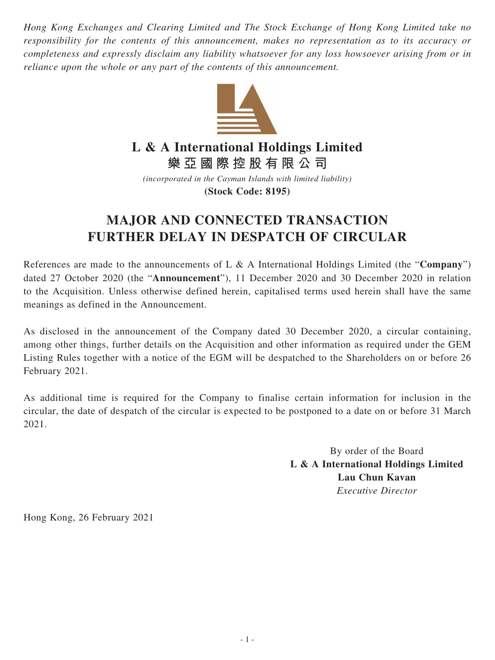*Hong Kong Exchanges and Clearing Limited and The Stock Exchange of Hong Kong Limited take no responsibility for the contents of this announcement, makes no representation as to its accuracy or completeness and expressly disclaim any liability whatsoever for any loss howsoever arising from or in reliance upon the whole or any part of the contents of this announcement.*



## **L & A International Holdings Limited**

**樂亞國際控股有限公司**

*(incorporated in the Cayman Islands with limited liability)* **(Stock Code: 8195)**

## **MAJOR AND CONNECTED TRANSACTION FURTHER DELAY IN DESPATCH OF CIRCULAR**

References are made to the announcements of L & A International Holdings Limited (the "**Company**") dated 27 October 2020 (the "**Announcement**"), 11 December 2020 and 30 December 2020 in relation to the Acquisition. Unless otherwise defined herein, capitalised terms used herein shall have the same meanings as defined in the Announcement.

As disclosed in the announcement of the Company dated 30 December 2020, a circular containing, among other things, further details on the Acquisition and other information as required under the GEM Listing Rules together with a notice of the EGM will be despatched to the Shareholders on or before 26 February 2021.

As additional time is required for the Company to finalise certain information for inclusion in the circular, the date of despatch of the circular is expected to be postponed to a date on or before 31 March 2021.

> By order of the Board **L & A International Holdings Limited Lau Chun Kavan** *Executive Director*

Hong Kong, 26 February 2021